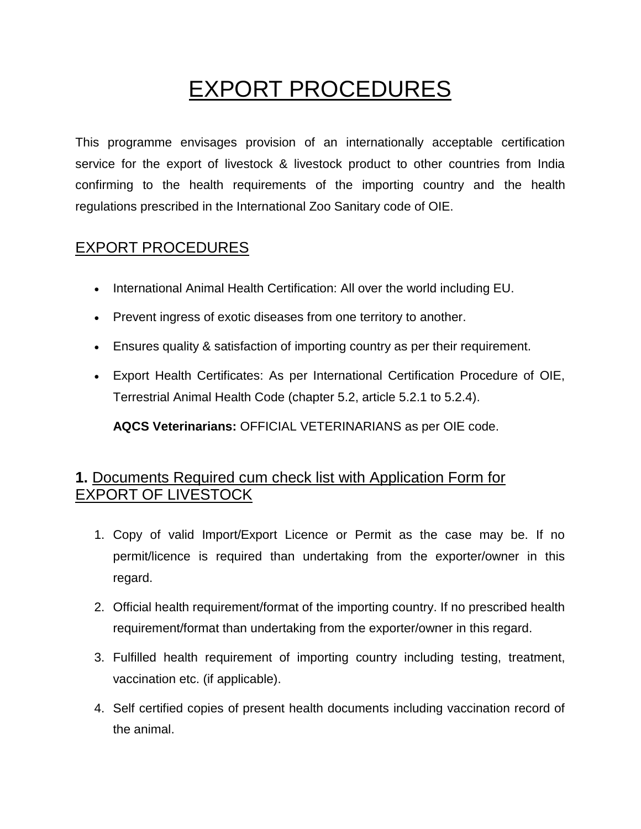# EXPORT PROCEDURES

This programme envisages provision of an internationally acceptable certification service for the export of livestock & livestock product to other countries from India confirming to the health requirements of the importing country and the health regulations prescribed in the International Zoo Sanitary code of OIE.

#### EXPORT PROCEDURES

- International Animal Health Certification: All over the world including EU.
- Prevent ingress of exotic diseases from one territory to another.
- Ensures quality & satisfaction of importing country as per their requirement.
- Export Health Certificates: As per International Certification Procedure of OIE, Terrestrial Animal Health Code (chapter 5.2, article 5.2.1 to 5.2.4).

**AQCS Veterinarians:** OFFICIAL VETERINARIANS as per OIE code.

#### **1.** Documents Required cum check list with Application Form for EXPORT OF LIVESTOCK

- 1. Copy of valid Import/Export Licence or Permit as the case may be. If no permit/licence is required than undertaking from the exporter/owner in this regard.
- 2. Official health requirement/format of the importing country. If no prescribed health requirement/format than undertaking from the exporter/owner in this regard.
- 3. Fulfilled health requirement of importing country including testing, treatment, vaccination etc. (if applicable).
- 4. Self certified copies of present health documents including vaccination record of the animal.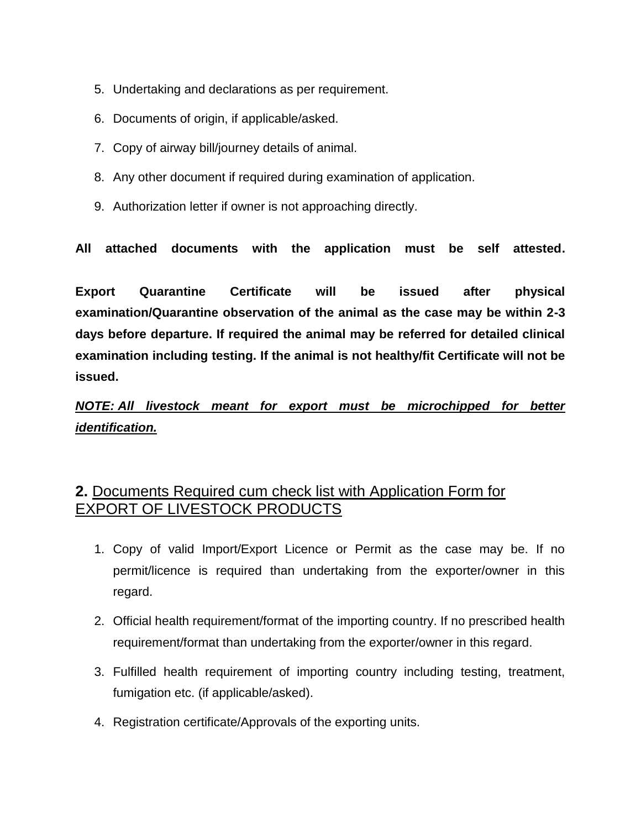- 5. Undertaking and declarations as per requirement.
- 6. Documents of origin, if applicable/asked.
- 7. Copy of airway bill/journey details of animal.
- 8. Any other document if required during examination of application.
- 9. Authorization letter if owner is not approaching directly.

**All attached documents with the application must be self attested.**

**Export Quarantine Certificate will be issued after physical examination/Quarantine observation of the animal as the case may be within 2-3 days before departure. If required the animal may be referred for detailed clinical examination including testing. If the animal is not healthy/fit Certificate will not be issued.**

*NOTE: All livestock meant for export must be microchipped for better identification.*

#### **2.** Documents Required cum check list with Application Form for EXPORT OF LIVESTOCK PRODUCTS

- 1. Copy of valid Import/Export Licence or Permit as the case may be. If no permit/licence is required than undertaking from the exporter/owner in this regard.
- 2. Official health requirement/format of the importing country. If no prescribed health requirement/format than undertaking from the exporter/owner in this regard.
- 3. Fulfilled health requirement of importing country including testing, treatment, fumigation etc. (if applicable/asked).
- 4. Registration certificate/Approvals of the exporting units.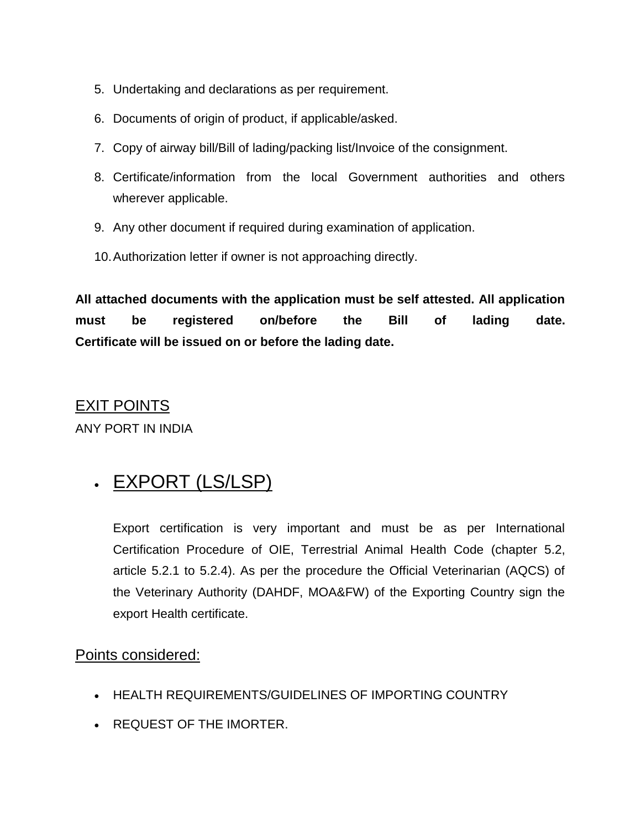- 5. Undertaking and declarations as per requirement.
- 6. Documents of origin of product, if applicable/asked.
- 7. Copy of airway bill/Bill of lading/packing list/Invoice of the consignment.
- 8. Certificate/information from the local Government authorities and others wherever applicable.
- 9. Any other document if required during examination of application.
- 10.Authorization letter if owner is not approaching directly.

**All attached documents with the application must be self attested. All application must be registered on/before the Bill of lading date. Certificate will be issued on or before the lading date.**

### EXIT POINTS

ANY PORT IN INDIA

## . EXPORT (LS/LSP)

Export certification is very important and must be as per International Certification Procedure of OIE, Terrestrial Animal Health Code (chapter 5.2, article 5.2.1 to 5.2.4). As per the procedure the Official Veterinarian (AQCS) of the Veterinary Authority (DAHDF, MOA&FW) of the Exporting Country sign the export Health certificate.

#### Points considered:

- **HEALTH REQUIREMENTS/GUIDELINES OF IMPORTING COUNTRY**
- REQUEST OF THE IMORTER.